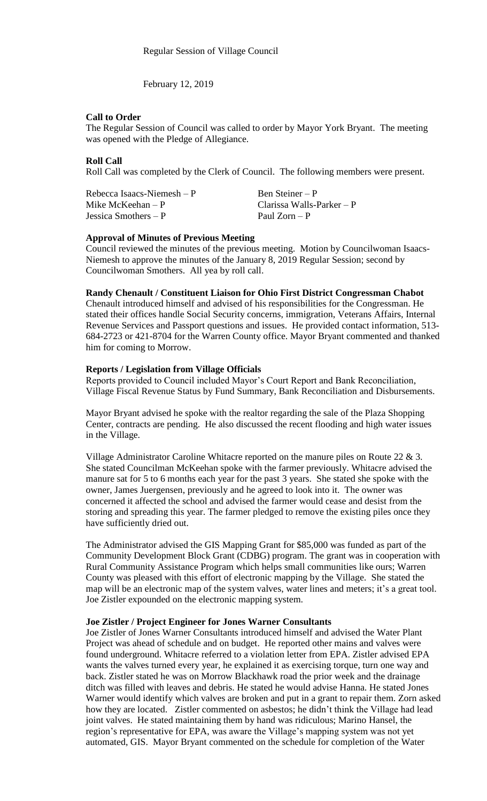February 12, 2019

## **Call to Order**

The Regular Session of Council was called to order by Mayor York Bryant. The meeting was opened with the Pledge of Allegiance.

# **Roll Call**

Roll Call was completed by the Clerk of Council. The following members were present.

| Rebecca Isaacs-Niemesh $-P$ | Ben Steiner – P           |
|-----------------------------|---------------------------|
| Mike McKeehan $- P$         | Clarissa Walls-Parker – P |
| Jessica Smothers $- P$      | Paul Zorn – P             |

#### **Approval of Minutes of Previous Meeting**

Council reviewed the minutes of the previous meeting. Motion by Councilwoman Isaacs-Niemesh to approve the minutes of the January 8, 2019 Regular Session; second by Councilwoman Smothers. All yea by roll call.

# **Randy Chenault / Constituent Liaison for Ohio First District Congressman Chabot**

Chenault introduced himself and advised of his responsibilities for the Congressman. He stated their offices handle Social Security concerns, immigration, Veterans Affairs, Internal Revenue Services and Passport questions and issues. He provided contact information, 513- 684-2723 or 421-8704 for the Warren County office. Mayor Bryant commented and thanked him for coming to Morrow.

## **Reports / Legislation from Village Officials**

Reports provided to Council included Mayor's Court Report and Bank Reconciliation, Village Fiscal Revenue Status by Fund Summary, Bank Reconciliation and Disbursements.

Mayor Bryant advised he spoke with the realtor regarding the sale of the Plaza Shopping Center, contracts are pending. He also discussed the recent flooding and high water issues in the Village.

Village Administrator Caroline Whitacre reported on the manure piles on Route 22 & 3. She stated Councilman McKeehan spoke with the farmer previously. Whitacre advised the manure sat for 5 to 6 months each year for the past 3 years. She stated she spoke with the owner, James Juergensen, previously and he agreed to look into it. The owner was concerned it affected the school and advised the farmer would cease and desist from the storing and spreading this year. The farmer pledged to remove the existing piles once they have sufficiently dried out.

The Administrator advised the GIS Mapping Grant for \$85,000 was funded as part of the Community Development Block Grant (CDBG) program. The grant was in cooperation with Rural Community Assistance Program which helps small communities like ours; Warren County was pleased with this effort of electronic mapping by the Village. She stated the map will be an electronic map of the system valves, water lines and meters; it's a great tool. Joe Zistler expounded on the electronic mapping system.

#### **Joe Zistler / Project Engineer for Jones Warner Consultants**

Joe Zistler of Jones Warner Consultants introduced himself and advised the Water Plant Project was ahead of schedule and on budget. He reported other mains and valves were found underground. Whitacre referred to a violation letter from EPA. Zistler advised EPA wants the valves turned every year, he explained it as exercising torque, turn one way and back. Zistler stated he was on Morrow Blackhawk road the prior week and the drainage ditch was filled with leaves and debris. He stated he would advise Hanna. He stated Jones Warner would identify which valves are broken and put in a grant to repair them. Zorn asked how they are located. Zistler commented on asbestos; he didn't think the Village had lead joint valves. He stated maintaining them by hand was ridiculous; Marino Hansel, the region's representative for EPA, was aware the Village's mapping system was not yet automated, GIS. Mayor Bryant commented on the schedule for completion of the Water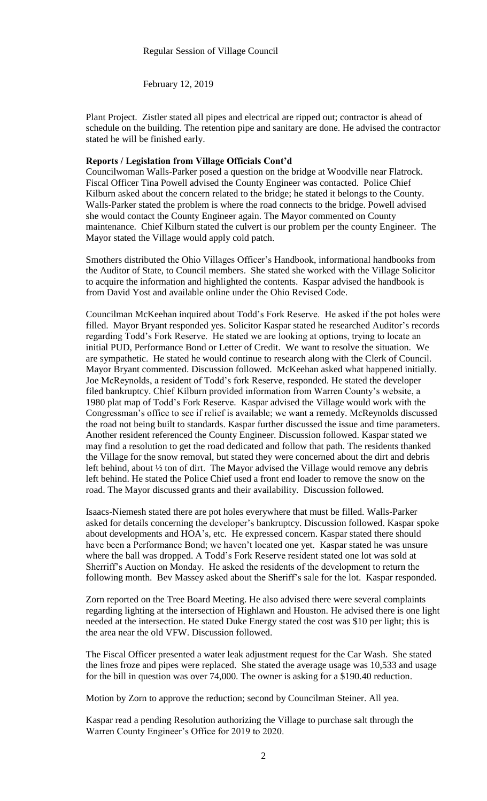February 12, 2019

Plant Project. Zistler stated all pipes and electrical are ripped out; contractor is ahead of schedule on the building. The retention pipe and sanitary are done. He advised the contractor stated he will be finished early.

## **Reports / Legislation from Village Officials Cont'd**

Councilwoman Walls-Parker posed a question on the bridge at Woodville near Flatrock. Fiscal Officer Tina Powell advised the County Engineer was contacted. Police Chief Kilburn asked about the concern related to the bridge; he stated it belongs to the County. Walls-Parker stated the problem is where the road connects to the bridge. Powell advised she would contact the County Engineer again. The Mayor commented on County maintenance. Chief Kilburn stated the culvert is our problem per the county Engineer. The Mayor stated the Village would apply cold patch.

Smothers distributed the Ohio Villages Officer's Handbook, informational handbooks from the Auditor of State, to Council members. She stated she worked with the Village Solicitor to acquire the information and highlighted the contents. Kaspar advised the handbook is from David Yost and available online under the Ohio Revised Code.

Councilman McKeehan inquired about Todd's Fork Reserve. He asked if the pot holes were filled. Mayor Bryant responded yes. Solicitor Kaspar stated he researched Auditor's records regarding Todd's Fork Reserve. He stated we are looking at options, trying to locate an initial PUD, Performance Bond or Letter of Credit. We want to resolve the situation. We are sympathetic. He stated he would continue to research along with the Clerk of Council. Mayor Bryant commented. Discussion followed. McKeehan asked what happened initially. Joe McReynolds, a resident of Todd's fork Reserve, responded. He stated the developer filed bankruptcy. Chief Kilburn provided information from Warren County's website, a 1980 plat map of Todd's Fork Reserve. Kaspar advised the Village would work with the Congressman's office to see if relief is available; we want a remedy. McReynolds discussed the road not being built to standards. Kaspar further discussed the issue and time parameters. Another resident referenced the County Engineer. Discussion followed. Kaspar stated we may find a resolution to get the road dedicated and follow that path. The residents thanked the Village for the snow removal, but stated they were concerned about the dirt and debris left behind, about ½ ton of dirt. The Mayor advised the Village would remove any debris left behind. He stated the Police Chief used a front end loader to remove the snow on the road. The Mayor discussed grants and their availability. Discussion followed.

Isaacs-Niemesh stated there are pot holes everywhere that must be filled. Walls-Parker asked for details concerning the developer's bankruptcy. Discussion followed. Kaspar spoke about developments and HOA's, etc. He expressed concern. Kaspar stated there should have been a Performance Bond; we haven't located one yet. Kaspar stated he was unsure where the ball was dropped. A Todd's Fork Reserve resident stated one lot was sold at Sherriff's Auction on Monday. He asked the residents of the development to return the following month. Bev Massey asked about the Sheriff's sale for the lot. Kaspar responded.

Zorn reported on the Tree Board Meeting. He also advised there were several complaints regarding lighting at the intersection of Highlawn and Houston. He advised there is one light needed at the intersection. He stated Duke Energy stated the cost was \$10 per light; this is the area near the old VFW. Discussion followed.

The Fiscal Officer presented a water leak adjustment request for the Car Wash. She stated the lines froze and pipes were replaced. She stated the average usage was 10,533 and usage for the bill in question was over 74,000. The owner is asking for a \$190.40 reduction.

Motion by Zorn to approve the reduction; second by Councilman Steiner. All yea.

Kaspar read a pending Resolution authorizing the Village to purchase salt through the Warren County Engineer's Office for 2019 to 2020.